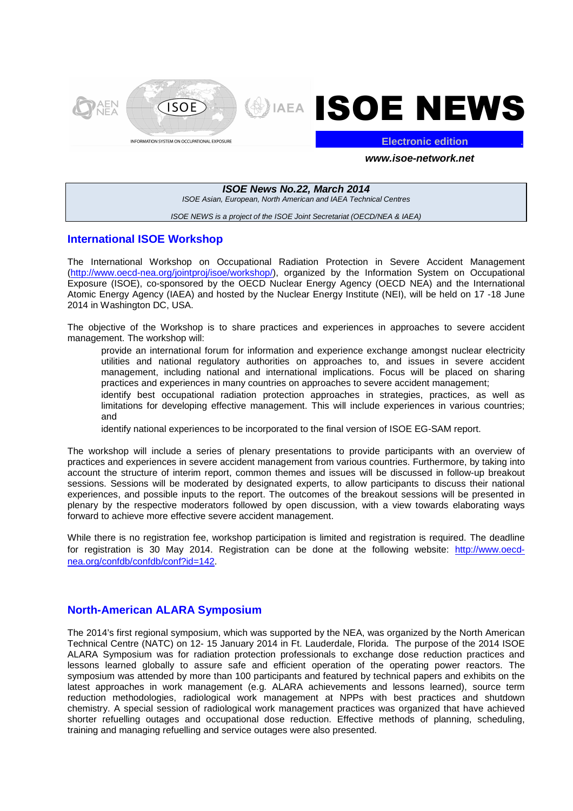



**Electronic edition** .

#### **www.isoe-network.net**

# **ISOE News No.22, March 2014**

ISOE Asian, European, North American and IAEA Technical Centres

#### ISOE NEWS is a project of the ISOE Joint Secretariat (OECD/NEA & IAEA)

### **International ISOE Workshop**

The International Workshop on Occupational Radiation Protection in Severe Accident Management (http://www.oecd-nea.org/jointproj/isoe/workshop/), organized by the Information System on Occupational Exposure (ISOE), co-sponsored by the OECD Nuclear Energy Agency (OECD NEA) and the International Atomic Energy Agency (IAEA) and hosted by the Nuclear Energy Institute (NEI), will be held on 17 -18 June 2014 in Washington DC, USA.

The objective of the Workshop is to share practices and experiences in approaches to severe accident management. The workshop will:

- provide an international forum for information and experience exchange amongst nuclear electricity utilities and national regulatory authorities on approaches to, and issues in severe accident management, including national and international implications. Focus will be placed on sharing practices and experiences in many countries on approaches to severe accident management;
- identify best occupational radiation protection approaches in strategies, practices, as well as limitations for developing effective management. This will include experiences in various countries; and
- $-$  identify national experiences to be incorporated to the final version of ISOE EG-SAM report.

The workshop will include a series of plenary presentations to provide participants with an overview of practices and experiences in severe accident management from various countries. Furthermore, by taking into account the structure of interim report, common themes and issues will be discussed in follow-up breakout sessions. Sessions will be moderated by designated experts, to allow participants to discuss their national experiences, and possible inputs to the report. The outcomes of the breakout sessions will be presented in plenary by the respective moderators followed by open discussion, with a view towards elaborating ways forward to achieve more effective severe accident management.

While there is no registration fee, workshop participation is limited and registration is required. The deadline for registration is 30 May 2014. Registration can be done at the following website: http://www.oecdnea.org/confdb/confdb/conf?id=142.

## **North-American ALARA Symposium**

The 2014's first regional symposium, which was supported by the NEA, was organized by the North American Technical Centre (NATC) on 12- 15 January 2014 in Ft. Lauderdale, Florida. The purpose of the 2014 ISOE ALARA Symposium was for radiation protection professionals to exchange dose reduction practices and lessons learned globally to assure safe and efficient operation of the operating power reactors. The symposium was attended by more than 100 participants and featured by technical papers and exhibits on the latest approaches in work management (e.g. ALARA achievements and lessons learned), source term reduction methodologies, radiological work management at NPPs with best practices and shutdown chemistry. A special session of radiological work management practices was organized that have achieved shorter refuelling outages and occupational dose reduction. Effective methods of planning, scheduling, training and managing refuelling and service outages were also presented.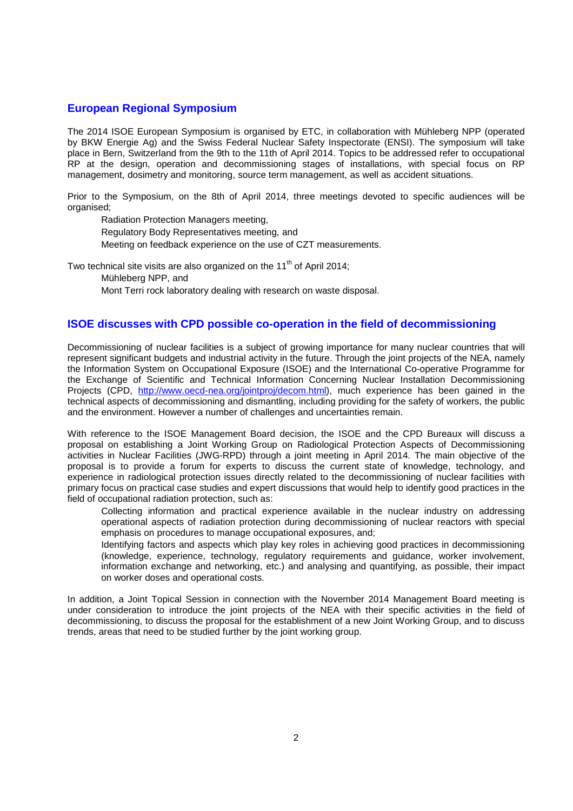### **European Regional Symposium**

The 2014 ISOE European Symposium is organised by ETC, in collaboration with Mühleberg NPP (operated by BKW Energie Ag) and the Swiss Federal Nuclear Safety Inspectorate (ENSI). The symposium will take place in Bern, Switzerland from the 9th to the 11th of April 2014. Topics to be addressed refer to occupational RP at the design, operation and decommissioning stages of installations, with special focus on RP management, dosimetry and monitoring, source term management, as well as accident situations.

Prior to the Symposium, on the 8th of April 2014, three meetings devoted to specific audiences will be organised;

- Radiation Protection Managers meeting,
- Regulatory Body Representatives meeting, and
- Meeting on feedback experience on the use of CZT measurements.

Two technical site visits are also organized on the  $11<sup>th</sup>$  of April 2014;

- Mühleberg NPP, and
- Mont Terri rock laboratory dealing with research on waste disposal.

#### **ISOE discusses with CPD possible co-operation in the field of decommissioning**

Decommissioning of nuclear facilities is a subject of growing importance for many nuclear countries that will represent significant budgets and industrial activity in the future. Through the joint projects of the NEA, namely the Information System on Occupational Exposure (ISOE) and the International Co-operative Programme for the Exchange of Scientific and Technical Information Concerning Nuclear Installation Decommissioning Projects (CPD, http://www.oecd-nea.org/jointproj/decom.html), much experience has been gained in the technical aspects of decommissioning and dismantling, including providing for the safety of workers, the public and the environment. However a number of challenges and uncertainties remain.

With reference to the ISOE Management Board decision, the ISOE and the CPD Bureaux will discuss a proposal on establishing a Joint Working Group on Radiological Protection Aspects of Decommissioning activities in Nuclear Facilities (JWG-RPD) through a joint meeting in April 2014. The main objective of the proposal is to provide a forum for experts to discuss the current state of knowledge, technology, and experience in radiological protection issues directly related to the decommissioning of nuclear facilities with primary focus on practical case studies and expert discussions that would help to identify good practices in the field of occupational radiation protection, such as:

- Collecting information and practical experience available in the nuclear industry on addressing operational aspects of radiation protection during decommissioning of nuclear reactors with special emphasis on procedures to manage occupational exposures, and;
- Identifying factors and aspects which play key roles in achieving good practices in decommissioning (knowledge, experience, technology, regulatory requirements and guidance, worker involvement, information exchange and networking, etc.) and analysing and quantifying, as possible, their impact on worker doses and operational costs.

In addition, a Joint Topical Session in connection with the November 2014 Management Board meeting is under consideration to introduce the joint projects of the NEA with their specific activities in the field of decommissioning, to discuss the proposal for the establishment of a new Joint Working Group, and to discuss trends, areas that need to be studied further by the joint working group.